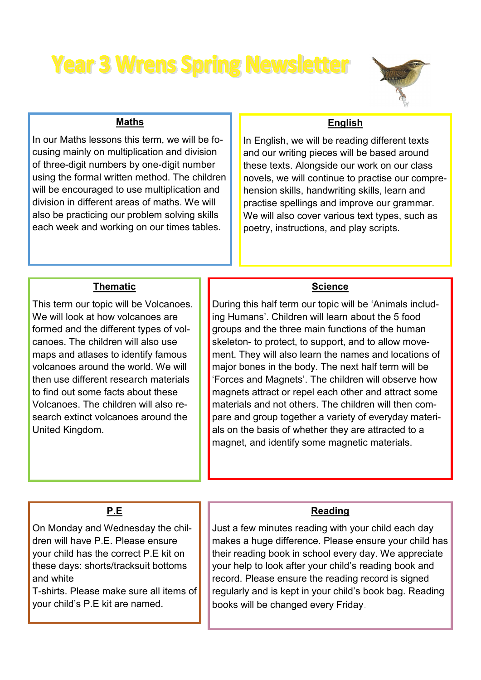# **Year 3 Wrens Spring Newsletter**



#### **Maths**

In our Maths lessons this term, we will be focusing mainly on multiplication and division of three-digit numbers by one-digit number using the formal written method. The children will be encouraged to use multiplication and division in different areas of maths. We will also be practicing our problem solving skills each week and working on our times tables.

#### **English**

In English, we will be reading different texts and our writing pieces will be based around these texts. Alongside our work on our class novels, we will continue to practise our comprehension skills, handwriting skills, learn and practise spellings and improve our grammar. We will also cover various text types, such as poetry, instructions, and play scripts.

#### **Thematic**

This term our topic will be Volcanoes. We will look at how volcanoes are formed and the different types of volcanoes. The children will also use maps and atlases to identify famous volcanoes around the world. We will then use different research materials to find out some facts about these Volcanoes. The children will also research extinct volcanoes around the United Kingdom.

#### **Science**

During this half term our topic will be 'Animals including Humans'. Children will learn about the 5 food groups and the three main functions of the human skeleton- to protect, to support, and to allow movement. They will also learn the names and locations of major bones in the body. The next half term will be 'Forces and Magnets'. The children will observe how magnets attract or repel each other and attract some materials and not others. The children will then compare and group together a variety of everyday materials on the basis of whether they are attracted to a magnet, and identify some magnetic materials.

#### **P.E**

On Monday and Wednesday the children will have P.E. Please ensure your child has the correct P.E kit on these days: shorts/tracksuit bottoms and white

T-shirts. Please make sure all items of your child's P.E kit are named.

#### **Reading**

Just a few minutes reading with your child each day makes a huge difference. Please ensure your child has their reading book in school every day. We appreciate your help to look after your child's reading book and record. Please ensure the reading record is signed regularly and is kept in your child's book bag. Reading books will be changed every Friday.